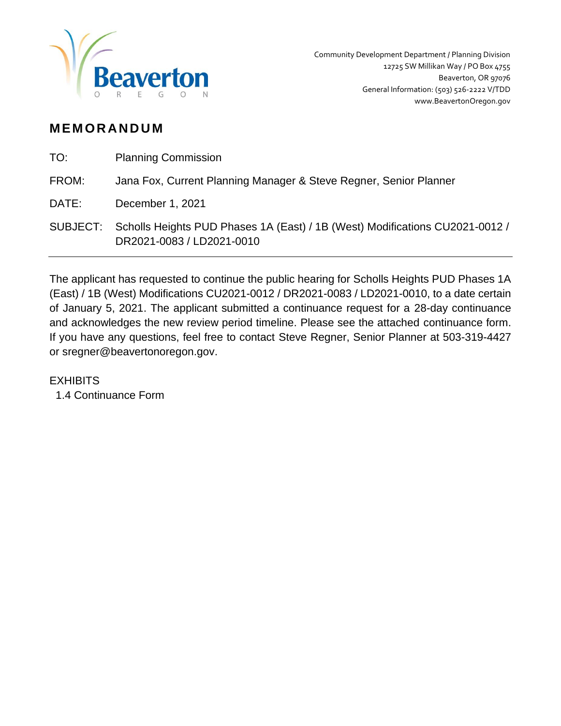

## **M EM OR AN D U M**

| TO:   | <b>Planning Commission</b>                                                                                         |
|-------|--------------------------------------------------------------------------------------------------------------------|
| FROM: | Jana Fox, Current Planning Manager & Steve Regner, Senior Planner                                                  |
| DATE: | December 1, 2021                                                                                                   |
|       | SUBJECT: Scholls Heights PUD Phases 1A (East) / 1B (West) Modifications CU2021-0012 /<br>DR2021-0083 / LD2021-0010 |

The applicant has requested to continue the public hearing for Scholls Heights PUD Phases 1A (East) / 1B (West) Modifications CU2021-0012 / DR2021-0083 / LD2021-0010, to a date certain of January 5, 2021. The applicant submitted a continuance request for a 28-day continuance and acknowledges the new review period timeline. Please see the attached continuance form. If you have any questions, feel free to contact Steve Regner, Senior Planner at 503-319-4427 or sregner@beavertonoregon.gov.

## **FXHIBITS**

1.4 Continuance Form